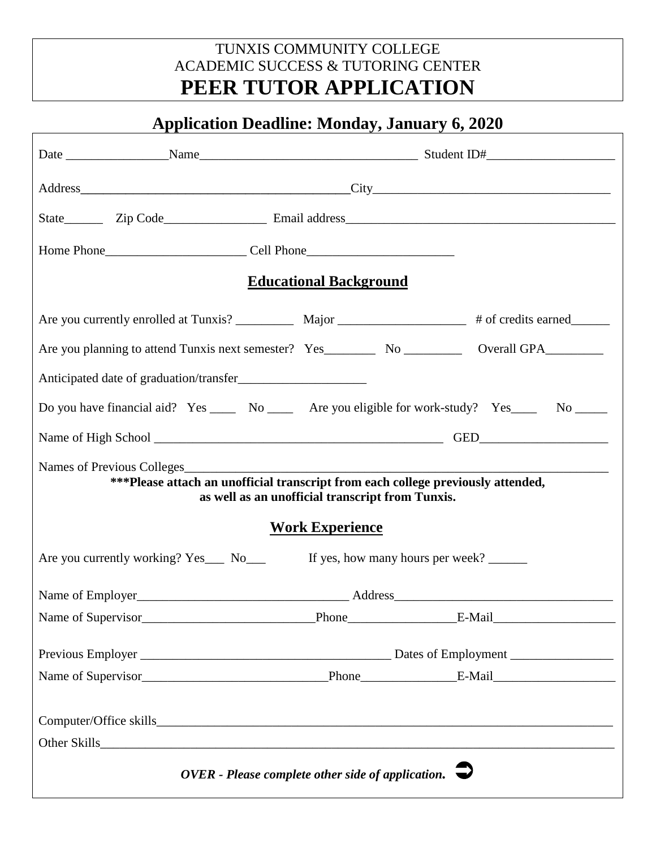## TUNXIS COMMUNITY COLLEGE ACADEMIC SUCCESS & TUTORING CENTER **PEER TUTOR APPLICATION**

# **Application Deadline: Monday, January 6, 2020**

| <b>Educational Background</b>                                                                                                        |  |  |  |  |  |  |  |
|--------------------------------------------------------------------------------------------------------------------------------------|--|--|--|--|--|--|--|
| Are you currently enrolled at Tunxis? ____________ Major ___________________# of credits earned___________                           |  |  |  |  |  |  |  |
|                                                                                                                                      |  |  |  |  |  |  |  |
|                                                                                                                                      |  |  |  |  |  |  |  |
| Do you have financial aid? Yes _____ No _____ Are you eligible for work-study? Yes ____ No _____                                     |  |  |  |  |  |  |  |
|                                                                                                                                      |  |  |  |  |  |  |  |
| ***Please attach an unofficial transcript from each college previously attended,<br>as well as an unofficial transcript from Tunxis. |  |  |  |  |  |  |  |
| <b>Work Experience</b>                                                                                                               |  |  |  |  |  |  |  |
| If yes, how many hours per week?<br>Are you currently working? Yes___ No___                                                          |  |  |  |  |  |  |  |
|                                                                                                                                      |  |  |  |  |  |  |  |
| Name of Supervisor                                                                                                                   |  |  |  |  |  |  |  |
|                                                                                                                                      |  |  |  |  |  |  |  |
|                                                                                                                                      |  |  |  |  |  |  |  |
|                                                                                                                                      |  |  |  |  |  |  |  |
|                                                                                                                                      |  |  |  |  |  |  |  |
| OVER - Please complete other side of application. $\rightarrow$                                                                      |  |  |  |  |  |  |  |